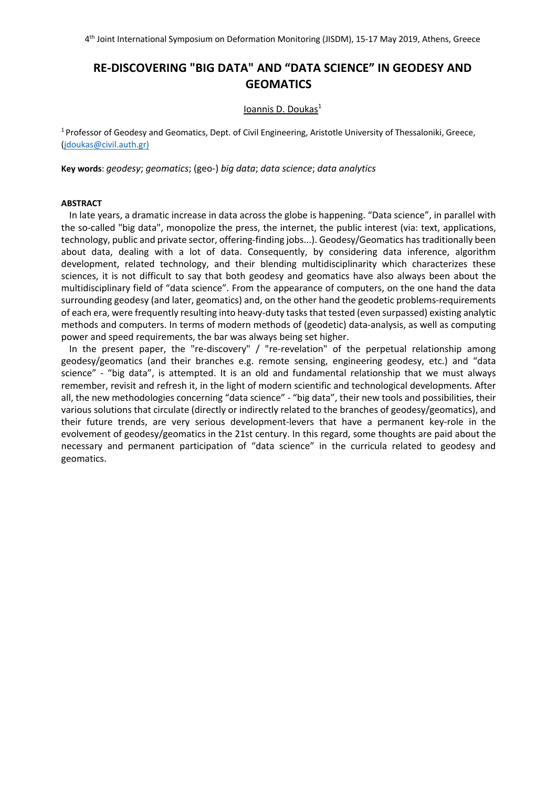4th Joint International Symposium on Deformation Monitoring (JISDM), 15-17 May 2019, Athens, Greece

# **RE-DISCOVERING "BIG DATA" AND "DATA SCIENCE" IN GEODESY AND GEOMATICS**

# Ioannis D. Doukas<sup>1</sup>

<sup>1</sup> Professor of Geodesy and Geomatics, Dept. of Civil Engineering, Aristotle University of Thessaloniki, Greece, (jdoukas@civil.auth.gr)

**Key words**: *geodesy*; *geomatics*; (geo-) *big data*; *data science*; *data analytics*

# **ABSTRACT**

In late years, a dramatic increase in data across the globe is happening. "Data science", in parallel with the so-called "big data", monopolize the press, the internet, the public interest (via: text, applications, technology, public and private sector, offering-finding jobs...). Geodesy/Geomatics has traditionally been about data, dealing with a lot of data. Consequently, by considering data inference, algorithm development, related technology, and their blending multidisciplinarity which characterizes these sciences, it is not difficult to say that both geodesy and geomatics have also always been about the multidisciplinary field of "data science". From the appearance of computers, on the one hand the data surrounding geodesy (and later, geomatics) and, on the other hand the geodetic problems-requirements of each era, were frequently resulting into heavy-duty tasks that tested (even surpassed) existing analytic methods and computers. In terms of modern methods of (geodetic) data-analysis, as well as computing power and speed requirements, the bar was always being set higher.

In the present paper, the "re-discovery" / "re-revelation" of the perpetual relationship among geodesy/geomatics (and their branches e.g. remote sensing, engineering geodesy, etc.) and "data science" - "big data", is attempted. It is an old and fundamental relationship that we must always remember, revisit and refresh it, in the light of modern scientific and technological developments. After all, the new methodologies concerning "data science" - "big data", their new tools and possibilities, their various solutions that circulate (directly or indirectly related to the branches of geodesy/geomatics), and their future trends, are very serious development-levers that have a permanent key-role in the evolvement of geodesy/geomatics in the 21st century. In this regard, some thoughts are paid about the necessary and permanent participation of "data science" in the curricula related to geodesy and geomatics.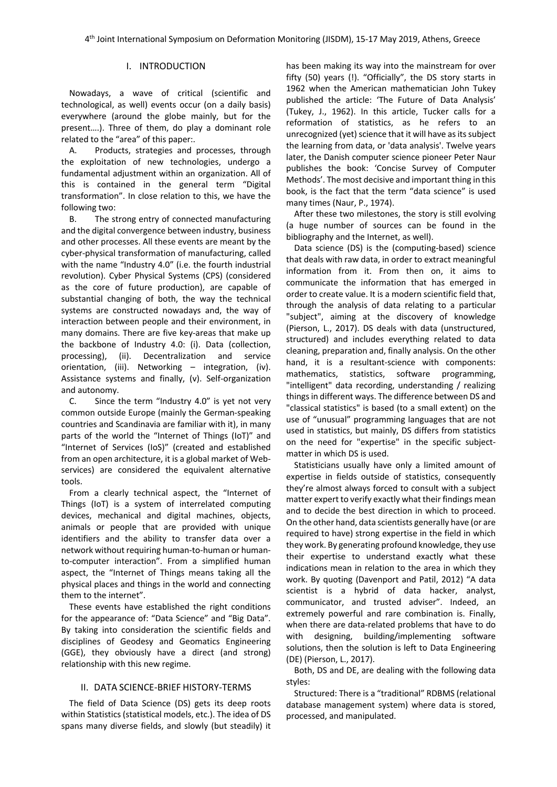# I. INTRODUCTION

Nowadays, a wave of critical (scientific and technological, as well) events occur (on a daily basis) everywhere (around the globe mainly, but for the present….). Three of them, do play a dominant role related to the "area" of this paper:.

A. Products, strategies and processes, through the exploitation of new technologies, undergo a fundamental adjustment within an organization. All of this is contained in the general term "Digital transformation". In close relation to this, we have the following two:

B. The strong entry of connected manufacturing and the digital convergence between industry, business and other processes. All these events are meant by the cyber-physical transformation of manufacturing, called with the name "Industry 4.0" (i.e. the fourth industrial revolution). Cyber Physical Systems (CPS) (considered as the core of future production), are capable of substantial changing of both, the way the technical systems are constructed nowadays and, the way of interaction between people and their environment, in many domains. There are five key-areas that make up the backbone of Industry 4.0: (i). Data (collection, processing), (ii). Decentralization and service orientation, (iii). Networking – integration, (iv). Assistance systems and finally, (v). Self-organization and autonomy.

C. Since the term "Industry 4.0" is yet not very common outside Europe (mainly the German-speaking countries and Scandinavia are familiar with it), in many parts of the world the "Internet of Things (IoT)" and "Internet of Services (IoS)" (created and established from an open architecture, it is a global market of Webservices) are considered the equivalent alternative tools.

From a clearly technical aspect, the "Internet of Things (IoT) is a system of interrelated computing devices, mechanical and digital machines, objects, animals or people that are provided with unique identifiers and the ability to transfer data over a network without requiring human-to-human or humanto-computer interaction". From a simplified human aspect, the "Internet of Things means taking all the physical places and things in the world and connecting them to the internet".

These events have established the right conditions for the appearance of: "Data Science" and "Big Data". By taking into consideration the scientific fields and disciplines of Geodesy and Geomatics Engineering (GGE), they obviously have a direct (and strong) relationship with this new regime.

### II. DATA SCIENCE-BRIEF HISTORY-TERMS

The field of Data Science (DS) gets its deep roots within Statistics (statistical models, etc.). The idea of DS spans many diverse fields, and slowly (but steadily) it has been making its way into the mainstream for over fifty (50) years (!). "Officially", the DS story starts in 1962 when the American mathematician John Tukey published the article: 'The Future of Data Analysis' (Tukey, J., 1962). In this article, Tucker calls for a reformation of statistics, as he refers to an unrecognized (yet) science that it will have as its subject the learning from data, or 'data analysis'. Twelve years later, the Danish computer science pioneer Peter Naur publishes the book: 'Concise Survey of Computer Methods'. The most decisive and important thing in this book, is the fact that the term "data science" is used many times (Naur, P., 1974).

After these two milestones, the story is still evolving (a huge number of sources can be found in the bibliography and the Internet, as well).

Data science (DS) is the (computing-based) science that deals with raw data, in order to extract meaningful information from it. From then on, it aims to communicate the information that has emerged in order to create value. It is a modern scientific field that, through the analysis of data relating to a particular "subject", aiming at the discovery of knowledge (Pierson, L., 2017). DS deals with data (unstructured, structured) and includes everything related to data cleaning, preparation and, finally analysis. On the other hand, it is a resultant-science with components: mathematics, statistics, software programming, "intelligent" data recording, understanding / realizing things in different ways. The difference between DS and "classical statistics" is based (to a small extent) on the use of "unusual" programming languages that are not used in statistics, but mainly, DS differs from statistics on the need for "expertise" in the specific subjectmatter in which DS is used.

Statisticians usually have only a limited amount of expertise in fields outside of statistics, consequently they're almost always forced to consult with a subject matter expert to verify exactly what their findings mean and to decide the best direction in which to proceed. On the other hand, data scientists generally have (or are required to have) strong expertise in the field in which they work. By generating profound knowledge, they use their expertise to understand exactly what these indications mean in relation to the area in which they work. By quoting (Davenport and Patil, 2012) "A data scientist is a hybrid of data hacker, analyst, communicator, and trusted adviser". Indeed, an extremely powerful and rare combination is. Finally, when there are data-related problems that have to do with designing, building/implementing software solutions, then the solution is left to Data Engineering (DE) (Pierson, L., 2017).

Both, DS and DE, are dealing with the following data styles:

Structured: There is a "traditional" RDBMS (relational database management system) where data is stored, processed, and manipulated.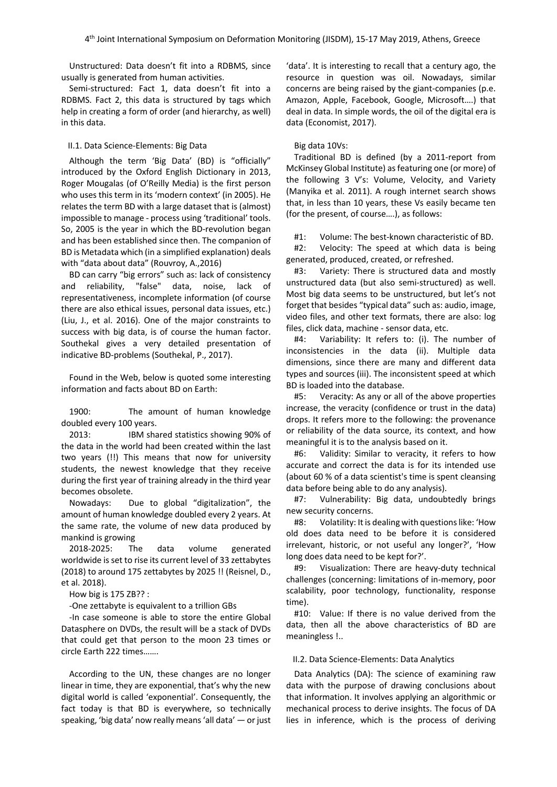Unstructured: Data doesn't fit into a RDBMS, since usually is generated from human activities.

Semi-structured: Fact 1, data doesn't fit into a RDBMS. Fact 2, this data is structured by tags which help in creating a form of order (and hierarchy, as well) in this data.

#### II.1. Data Science-Elements: Big Data

Although the term 'Big Data' (BD) is "officially" introduced by the Oxford English Dictionary in 2013, Roger Mougalas (of O'Reilly Media) is the first person who uses this term in its 'modern context' (in 2005). He relates the term BD with a large dataset that is (almost) impossible to manage - process using 'traditional' tools. So, 2005 is the year in which the BD-revolution began and has been established since then. The companion of BD is Metadata which (in a simplified explanation) deals with "data about data" (Rouvroy, A.,2016)

BD can carry "big errors" such as: lack of consistency and reliability, "false" data, noise, lack of representativeness, incomplete information (of course there are also ethical issues, personal data issues, etc.) (Liu, J., et al. 2016). One of the major constraints to success with big data, is of course the human factor. Southekal gives a very detailed presentation of indicative BD-problems (Southekal, P., 2017).

Found in the Web, below is quoted some interesting information and facts about BD on Earth:

1900: The amount of human knowledge doubled every 100 years.

2013: IBM shared statistics showing 90% of the data in the world had been created within the last two years (!!) This means that now for university students, the newest knowledge that they receive during the first year of training already in the third year becomes obsolete.

Nowadays: Due to global "digitalization", the amount of human knowledge doubled every 2 years. At the same rate, the volume of new data produced by mankind is growing

2018-2025: The data volume generated worldwide is set to rise its current level of 33 zettabytes (2018) to around 175 zettabytes by 2025 !! (Reisnel, D., et al. 2018).

How big is 175 ZB?? :

-One zettabyte is equivalent to a trillion GBs

-In case someone is able to store the entire Global Datasphere on DVDs, the result will be a stack of DVDs that could get that person to the moon 23 times or circle Earth 222 times…….

According to the UN, these changes are no longer linear in time, they are exponential, that's why the new digital world is called 'exponential'. Consequently, the fact today is that BD is everywhere, so technically speaking, 'big data' now really means 'all data' — or just 'data'. It is interesting to recall that a century ago, the resource in question was oil. Nowadays, similar concerns are being raised by the giant-companies (p.e. Amazon, Apple, Facebook, Google, Microsoft….) that deal in data. In simple words, the oil of the digital era is data (Economist, 2017).

#### Big data 10Vs:

Traditional BD is defined (by a 2011-report from McKinsey Global Institute) as featuring one (or more) of the following 3 V's: Volume, Velocity, and Variety (Manyika et al. 2011). A rough internet search shows that, in less than 10 years, these Vs easily became ten (for the present, of course….), as follows:

#1: Volume: The best-known characteristic of BD.

#2: Velocity: The speed at which data is being generated, produced, created, or refreshed.

#3: Variety: There is structured data and mostly unstructured data (but also semi-structured) as well. Most big data seems to be unstructured, but let's not forget that besides "typical data" such as: audio, image, video files, and other text formats, there are also: log files, click data, machine - sensor data, etc.

#4: Variability: It refers to: (i). The number of inconsistencies in the data (ii). Multiple data dimensions, since there are many and different data types and sources (iii). The inconsistent speed at which BD is loaded into the database.

#5: Veracity: As any or all of the above properties increase, the veracity (confidence or trust in the data) drops. It refers more to the following: the provenance or reliability of the data source, its context, and how meaningful it is to the analysis based on it.

#6: Validity: Similar to veracity, it refers to how accurate and correct the data is for its intended use (about 60 % of a data scientist's time is spent cleansing data before being able to do any analysis).

#7: Vulnerability: Big data, undoubtedly brings new security concerns.

#8: Volatility: It is dealing with questions like: 'How old does data need to be before it is considered irrelevant, historic, or not useful any longer?', 'How long does data need to be kept for?'.

#9: Visualization: There are heavy-duty technical challenges (concerning: limitations of in-memory, poor scalability, poor technology, functionality, response time).

#10: Value: If there is no value derived from the data, then all the above characteristics of BD are meaningless !..

#### II.2. Data Science-Elements: Data Analytics

Data Analytics (DA): The science of examining raw data with the purpose of drawing conclusions about that information. It involves applying an algorithmic or mechanical process to derive insights. The focus of DA lies in inference, which is the process of deriving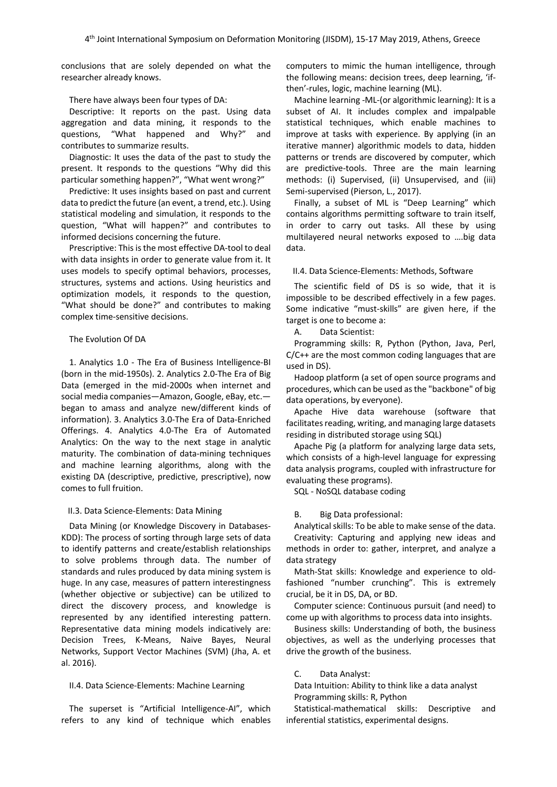conclusions that are solely depended on what the researcher already knows.

#### There have always been four types of DA:

Descriptive: It reports on the past. Using data aggregation and data mining, it responds to the questions, "What happened and Why?" and contributes to summarize results.

Diagnostic: It uses the data of the past to study the present. It responds to the questions "Why did this particular something happen?", "What went wrong?"

Predictive: It uses insights based on past and current data to predict the future (an event, a trend, etc.). Using statistical modeling and simulation, it responds to the question, "What will happen?" and contributes to informed decisions concerning the future.

Prescriptive: This is the most effective DA-tool to deal with data insights in order to generate value from it. It uses models to specify optimal behaviors, processes, structures, systems and actions. Using heuristics and optimization models, it responds to the question, "What should be done?" and contributes to making complex time-sensitive decisions.

#### The Evolution Of DA

1. Analytics 1.0 - The Era of Business Intelligence-BI (born in the mid-1950s). 2. Analytics 2.0-The Era of Big Data (emerged in the mid-2000s when internet and social media companies—Amazon, Google, eBay, etc. began to amass and analyze new/different kinds of information). 3. Analytics 3.0-The Era of Data-Enriched Offerings. 4. Analytics 4.0-The Era of Automated Analytics: On the way to the next stage in analytic maturity. The combination of data-mining techniques and machine learning algorithms, along with the existing DA (descriptive, predictive, prescriptive), now comes to full fruition.

#### II.3. Data Science-Elements: Data Mining

Data Mining (or Knowledge Discovery in Databases-KDD): The process of sorting through large sets of data to identify patterns and create/establish relationships to solve problems through data. The number of standards and rules produced by data mining system is huge. In any case, measures of pattern interestingness (whether objective or subjective) can be utilized to direct the discovery process, and knowledge is represented by any identified interesting pattern. Representative data mining models indicatively are: Decision Trees, K-Means, Naive Bayes, Neural Networks, Support Vector Machines (SVM) (Jha, A. et al. 2016).

#### II.4. Data Science-Elements: Machine Learning

The superset is "Artificial Intelligence-AI", which refers to any kind of technique which enables computers to mimic the human intelligence, through the following means: decision trees, deep learning, 'ifthen'-rules, logic, machine learning (ML).

Machine learning -ML-(or algorithmic learning): It is a subset of AI. It includes complex and impalpable statistical techniques, which enable machines to improve at tasks with experience. By applying (in an iterative manner) algorithmic models to data, hidden patterns or trends are discovered by computer, which are predictive-tools. Three are the main learning methods: (i) Supervised, (ii) Unsupervised, and (iii) Semi-supervised (Pierson, L., 2017).

Finally, a subset of ML is "Deep Learning" which contains algorithms permitting software to train itself, in order to carry out tasks. All these by using multilayered neural networks exposed to ….big data data.

## II.4. Data Science-Elements: Methods, Software

The scientific field of DS is so wide, that it is impossible to be described effectively in a few pages. Some indicative "must-skills" are given here, if the target is one to become a:

A. Data Scientist:

Programming skills: R, Python (Python, Java, Perl, C/C++ are the most common coding languages that are used in DS).

Hadoop platform (a set of open source programs and procedures, which can be used as the "backbone" of big data operations, by everyone).

Apache Hive data warehouse (software that facilitates reading, writing, and managing large datasets residing in distributed storage using SQL)

Apache Pig (a platform for analyzing large data sets, which consists of a high-level language for expressing data analysis programs, coupled with infrastructure for evaluating these programs).

SQL - NoSQL database coding

#### B. Big Data professional:

Analytical skills: To be able to make sense of the data. Creativity: Capturing and applying new ideas and methods in order to: gather, interpret, and analyze a data strategy

Math-Stat skills: Knowledge and experience to oldfashioned "number crunching". This is extremely crucial, be it in DS, DA, or BD.

Computer science: Continuous pursuit (and need) to come up with algorithms to process data into insights.

Business skills: Understanding of both, the business objectives, as well as the underlying processes that drive the growth of the business.

#### C. Data Analyst:

Data Intuition: Ability to think like a data analyst Programming skills: R, Python

Statistical-mathematical skills: Descriptive and inferential statistics, experimental designs.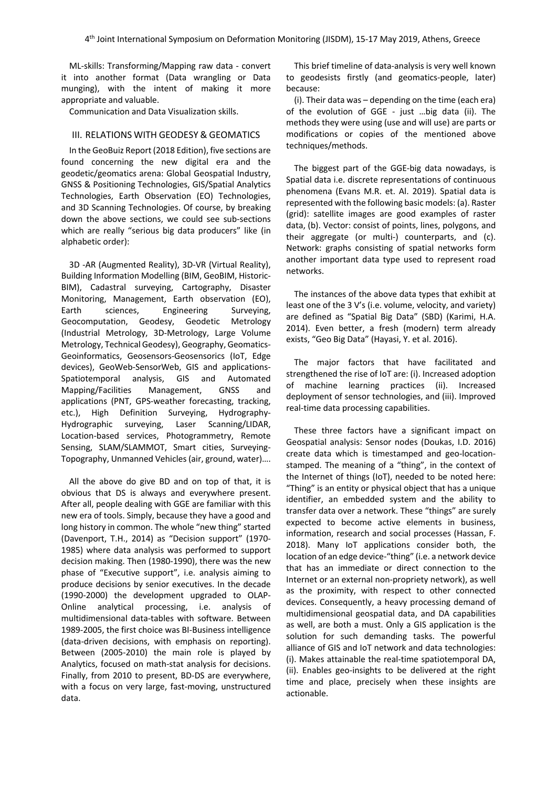ML-skills: Transforming/Mapping raw data - convert it into another format (Data wrangling or Data munging), with the intent of making it more appropriate and valuable.

Communication and Data Visualization skills.

## III. RELATIONS WITH GEODESY & GEOMATICS

In the GeoBuiz Report (2018 Edition), five sections are found concerning the new digital era and the geodetic/geomatics arena: Global Geospatial Industry, GNSS & Positioning Technologies, GIS/Spatial Analytics Technologies, Earth Observation (EO) Technologies, and 3D Scanning Technologies. Of course, by breaking down the above sections, we could see sub-sections which are really "serious big data producers" like (in alphabetic order):

3D -AR (Augmented Reality), 3D-VR (Virtual Reality), Building Information Modelling (BIM, GeoBIM, Historic-BIM), Cadastral surveying, Cartography, Disaster Monitoring, Management, Earth observation (EO), Earth sciences, Engineering Surveying, Geocomputation, Geodesy, Geodetic Metrology (Industrial Metrology, 3D-Metrology, Large Volume Metrology, Technical Geodesy), Geography, Geomatics-Geoinformatics, Geosensors-Geosensorics (IoT, Edge devices), GeoWeb-SensorWeb, GIS and applications-Spatiotemporal analysis, GIS and Automated Mapping/Facilities Management, GNSS and applications (PNT, GPS-weather forecasting, tracking, etc.), High Definition Surveying, Hydrography-Hydrographic surveying, Laser Scanning/LIDAR, Location-based services, Photogrammetry, Remote Sensing, SLAM/SLAMMOT, Smart cities, Surveying-Topography, Unmanned Vehicles (air, ground, water)….

All the above do give BD and on top of that, it is obvious that DS is always and everywhere present. After all, people dealing with GGE are familiar with this new era of tools. Simply, because they have a good and long history in common. The whole "new thing" started (Davenport, T.H., 2014) as "Decision support" (1970- 1985) where data analysis was performed to support decision making. Then (1980-1990), there was the new phase of "Executive support", i.e. analysis aiming to produce decisions by senior executives. In the decade (1990-2000) the development upgraded to OLAP-Online analytical processing, i.e. analysis of multidimensional data-tables with software. Between 1989-2005, the first choice was BI-Business intelligence (data-driven decisions, with emphasis on reporting). Between (2005-2010) the main role is played by Analytics, focused on math-stat analysis for decisions. Finally, from 2010 to present, BD-DS are everywhere, with a focus on very large, fast-moving, unstructured data.

This brief timeline of data-analysis is very well known to geodesists firstly (and geomatics-people, later) because:

(i). Their data was – depending on the time (each era) of the evolution of GGE - just …big data (ii). The methods they were using (use and will use) are parts or modifications or copies of the mentioned above techniques/methods.

The biggest part of the GGE-big data nowadays, is Spatial data i.e. discrete representations of continuous phenomena (Evans M.R. et. Al. 2019). Spatial data is represented with the following basic models: (a). Raster (grid): satellite images are good examples of raster data, (b). Vector: consist of points, lines, polygons, and their aggregate (or multi-) counterparts, and (c). Network: graphs consisting of spatial networks form another important data type used to represent road networks.

The instances of the above data types that exhibit at least one of the 3 V's (i.e. volume, velocity, and variety) are defined as "Spatial Big Data" (SBD) (Karimi, H.A. 2014). Even better, a fresh (modern) term already exists, "Geo Big Data" (Hayasi, Y. et al. 2016).

The major factors that have facilitated and strengthened the rise of IoT are: (i). Increased adoption of machine learning practices (ii). Increased deployment of sensor technologies, and (iii). Improved real-time data processing capabilities.

These three factors have a significant impact on Geospatial analysis: Sensor nodes (Doukas, I.D. 2016) create data which is timestamped and geo-locationstamped. The meaning of a "thing", in the context of the Internet of things (IoT), needed to be noted here: "Thing" is an entity or physical object that has a unique identifier, an embedded system and the ability to transfer data over a network. These "things" are surely expected to become active elements in business, information, research and social processes (Hassan, F. 2018). Many IoT applications consider both, the location of an edge device-"thing" (i.e. a network device that has an immediate or direct connection to the Internet or an external non-propriety network), as well as the proximity, with respect to other connected devices. Consequently, a heavy processing demand of multidimensional geospatial data, and DA capabilities as well, are both a must. Only a GIS application is the solution for such demanding tasks. The powerful alliance of GIS and IoT network and data technologies: (i). Makes attainable the real-time spatiotemporal DA, (ii). Enables geo-insights to be delivered at the right time and place, precisely when these insights are actionable.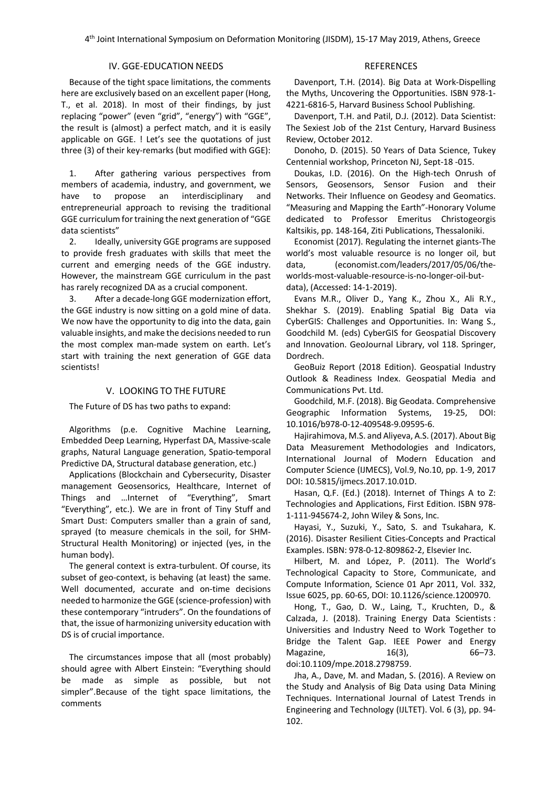4th Joint International Symposium on Deformation Monitoring (JISDM), 15-17 May 2019, Athens, Greece

# IV. GGE-EDUCATION NEEDS

Because of the tight space limitations, the comments here are exclusively based on an excellent paper (Hong, T., et al. 2018). In most of their findings, by just replacing "power" (even "grid", "energy") with "GGE", the result is (almost) a perfect match, and it is easily applicable on GGE. ! Let's see the quotations of just three (3) of their key-remarks (but modified with GGE):

1. After gathering various perspectives from members of academia, industry, and government, we have to propose an interdisciplinary and entrepreneurial approach to revising the traditional GGE curriculum for training the next generation of "GGE data scientists"

2. Ideally, university GGE programs are supposed to provide fresh graduates with skills that meet the current and emerging needs of the GGE industry. However, the mainstream GGE curriculum in the past has rarely recognized DA as a crucial component.

3. After a decade-long GGE modernization effort, the GGE industry is now sitting on a gold mine of data. We now have the opportunity to dig into the data, gain valuable insights, and make the decisions needed to run the most complex man-made system on earth. Let's start with training the next generation of GGE data scientists!

## V. LOOKING TO THE FUTURE

The Future of DS has two paths to expand:

Algorithms (p.e. Cognitive Machine Learning, Embedded Deep Learning, Hyperfast DA, Massive-scale graphs, Natural Language generation, Spatio-temporal Predictive DA, Structural database generation, etc.)

Applications (Blockchain and Cybersecurity, Disaster management Geosensorics, Healthcare, Internet of Things and …Internet of "Everything", Smart "Everything", etc.). We are in front of Tiny Stuff and Smart Dust: Computers smaller than a grain of sand, sprayed (to measure chemicals in the soil, for SHM-Structural Health Monitoring) or injected (yes, in the human body).

The general context is extra-turbulent. Of course, its subset of geo-context, is behaving (at least) the same. Well documented, accurate and on-time decisions needed to harmonize the GGE (science-profession) with these contemporary "intruders". On the foundations of that, the issue of harmonizing university education with DS is of crucial importance.

The circumstances impose that all (most probably) should agree with Albert Einstein: "Everything should be made as simple as possible, but not simpler".Because of the tight space limitations, the comments

## REFERENCES

Davenport, T.H. (2014). Big Data at Work-Dispelling the Myths, Uncovering the Opportunities. ISBN 978-1- 4221-6816-5, Harvard Business School Publishing.

Davenport, T.H. and Patil, D.J. (2012). Data Scientist: The Sexiest Job of the 21st Century, Harvard Business Review, October 2012.

Donoho, D. (2015). 50 Years of Data Science, Tukey Centennial workshop, Princeton NJ, Sept-18 -015.

Doukas, I.D. (2016). On the High-tech Onrush of Sensors, Geosensors, Sensor Fusion and their Networks. Their Influence on Geodesy and Geomatics. "Measuring and Mapping the Earth"-Honorary Volume dedicated to Professor Emeritus Christogeorgis Kaltsikis, pp. 148-164, Ziti Publications, Thessaloniki.

Economist (2017). Regulating the internet giants-The world's most valuable resource is no longer oil, but data, (economist.com/leaders/2017/05/06/theworlds-most-valuable-resource-is-no-longer-oil-butdata), (Accessed: 14-1-2019).

Evans M.R., Oliver D., Yang K., Zhou X., Ali R.Y., Shekhar S. (2019). Enabling Spatial Big Data via CyberGIS: Challenges and Opportunities. In: Wang S., Goodchild M. (eds) CyberGIS for Geospatial Discovery and Innovation. GeoJournal Library, vol 118. Springer, Dordrech.

GeoBuiz Report (2018 Edition). Geospatial Industry Outlook & Readiness Index. Geospatial Media and Communications Pvt. Ltd.

Goodchild, M.F. (2018). Big Geodata. Comprehensive Geographic Information Systems, 19-25, DOI: 10.1016/b978-0-12-409548-9.09595-6.

Hajirahimova, M.S. and Aliyeva, A.S. (2017). About Big Data Measurement Methodologies and Indicators, International Journal of Modern Education and Computer Science (IJMECS), Vol.9, No.10, pp. 1-9, 2017 DOI: 10.5815/ijmecs.2017.10.01D.

Hasan, Q.F. (Ed.) (2018). Internet of Things A to Z: Technologies and Applications, First Edition. ISBN 978- 1-111-945674-2, John Wiley & Sons, Inc.

Hayasi, Y., Suzuki, Y., Sato, S. and Tsukahara, K. (2016). Disaster Resilient Cities-Concepts and Practical Examples. ISBN: 978-0-12-809862-2, Elsevier Inc.

Hilbert, M. and López, P. (2011). The World's Technological Capacity to Store, Communicate, and Compute Information, Science 01 Apr 2011, Vol. 332, Issue 6025, pp. 60-65, DOI: 10.1126/science.1200970.

Hong, T., Gao, D. W., Laing, T., Kruchten, D., & Calzada, J. (2018). Training Energy Data Scientists : Universities and Industry Need to Work Together to Bridge the Talent Gap. IEEE Power and Energy Magazine, 16(3), 66-73. doi:10.1109/mpe.2018.2798759.

Jha, A., Dave, M. and Madan, S. (2016). A Review on the Study and Analysis of Big Data using Data Mining Techniques. International Journal of Latest Trends in Engineering and Technology (IJLTET). Vol. 6 (3), pp. 94- 102.